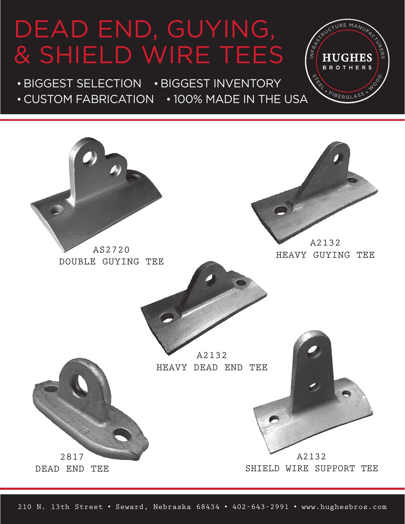## DEAD END, GUYING, & shield wire tees

· biggest selection · biggest inventory · custom fabrication · 100% made in the usa

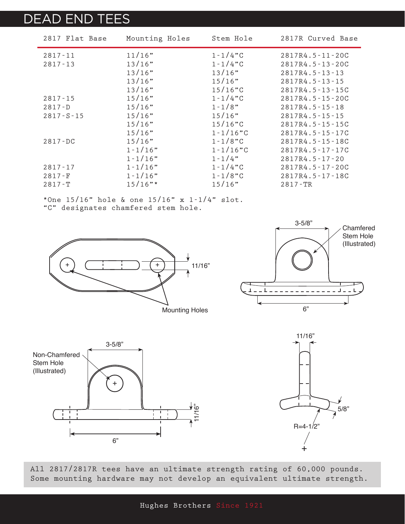## dead end tees

| 2817 Flat Base  | Mounting Holes | Stem Hole     | 2817R Curved Base     |
|-----------------|----------------|---------------|-----------------------|
| $2817 - 11$     | 11/16"         | $1 - 1/4$ "C  | $2817R4.5 - 11 - 20C$ |
| $2817 - 13$     | 13/16"         | $1 - 1/4$ "C  | 2817R4.5-13-20C       |
|                 | 13/16"         | 13/16"        | 2817R4.5-13-13        |
|                 | 13/16"         | 15/16"        | $2817R4.5 - 13 - 15$  |
|                 | 13/16"         | 15/16"C       | 2817R4.5-13-15C       |
| $2817 - 15$     | 15/16"         | $1 - 1/4$ "C  | 2817R4.5-15-20C       |
| $2817 - D$      | 15/16"         | $1 - 1/8$ "   | $2817R4.5 - 15 - 18$  |
| $2817 - S - 15$ | 15/16"         | 15/16"        | 2817R4.5-15-15        |
|                 | 15/16"         | $15/16$ "C    | 2817R4.5-15-15C       |
|                 | 15/16"         | $1 - 1/16$ "C | 2817R4.5-15-17C       |
| $2817 - DC$     | 15/16"         | $1 - 1/8$ "C  | 2817R4.5-15-18C       |
|                 | $1 - 1/16$ "   | $1 - 1/16$ "C | 2817R4.5-17-17C       |
|                 | $1 - 1/16$ "   | $1 - 1/4$ "   | 2817R4.5-17-20        |
| $2817 - 17$     | $1 - 1/16$ "   | $1 - 1/4$ "C  | 2817R4.5-17-20C       |
| $2817-F$        | $1 - 1/16"$    | $1 - 1/8$ "C  | 2817R4.5-17-18C       |
| $2817 - T$      | $15/16$ "*     | 15/16"        | $2817 - TR$           |

\*One  $15/16$ " hole & one  $15/16$ " x  $1-1/4$ " slot. "C" designates chamfered stem hole.









All 2817/2817R tees have an ultimate strength rating of 60,000 pounds. Some mounting hardware may not develop an equivalent ultimate strength.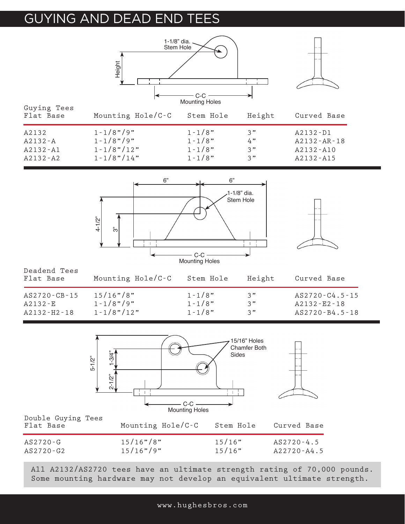## **GUYING AND DEAD END T**



|                                 | <b>Mounting Holes</b>        |                  |                                   |
|---------------------------------|------------------------------|------------------|-----------------------------------|
| Double Guying Tees<br>Flat Base | Mounting $Hole/C-C$          | Stem Hole        | Curved Base                       |
| $AS2720 - G$<br>AS2720-G2       | $15/16"$ /8"<br>$15/16"$ /9" | 15/16"<br>15/16" | $AS2720 - 4.5$<br>$A22720 - A4.5$ |

All A2132/AS2720 tees have an ultimate strength rating of 70,000 pounds. Some mounting hardware may not develop an equivalent ultimate strength.